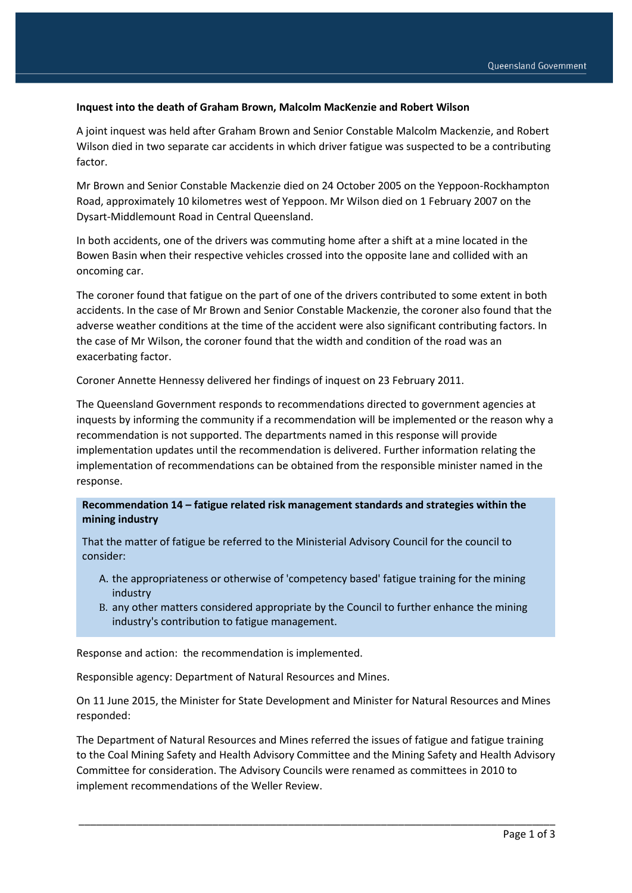## **Inquest into the death of Graham Brown, Malcolm MacKenzie and Robert Wilson**

A joint inquest was held after Graham Brown and Senior Constable Malcolm Mackenzie, and Robert Wilson died in two separate car accidents in which driver fatigue was suspected to be a contributing factor.

Mr Brown and Senior Constable Mackenzie died on 24 October 2005 on the Yeppoon-Rockhampton Road, approximately 10 kilometres west of Yeppoon. Mr Wilson died on 1 February 2007 on the Dysart-Middlemount Road in Central Queensland.

In both accidents, one of the drivers was commuting home after a shift at a mine located in the Bowen Basin when their respective vehicles crossed into the opposite lane and collided with an oncoming car.

The coroner found that fatigue on the part of one of the drivers contributed to some extent in both accidents. In the case of Mr Brown and Senior Constable Mackenzie, the coroner also found that the adverse weather conditions at the time of the accident were also significant contributing factors. In the case of Mr Wilson, the coroner found that the width and condition of the road was an exacerbating factor.

Coroner Annette Hennessy delivered her findings of inquest on 23 February 2011.

The Queensland Government responds to recommendations directed to government agencies at inquests by informing the community if a recommendation will be implemented or the reason why a recommendation is not supported. The departments named in this response will provide implementation updates until the recommendation is delivered. Further information relating the implementation of recommendations can be obtained from the responsible minister named in the response.

## **Recommendation 14 – fatigue related risk management standards and strategies within the mining industry**

That the matter of fatigue be referred to the Ministerial Advisory Council for the council to consider:

- A. the appropriateness or otherwise of 'competency based' fatigue training for the mining industry
- B. any other matters considered appropriate by the Council to further enhance the mining industry's contribution to fatigue management.

Response and action: the recommendation is implemented.

Responsible agency: Department of Natural Resources and Mines.

On 11 June 2015, the Minister for State Development and Minister for Natural Resources and Mines responded:

The Department of Natural Resources and Mines referred the issues of fatigue and fatigue training to the Coal Mining Safety and Health Advisory Committee and the Mining Safety and Health Advisory Committee for consideration. The Advisory Councils were renamed as committees in 2010 to implement recommendations of the Weller Review.

\_\_\_\_\_\_\_\_\_\_\_\_\_\_\_\_\_\_\_\_\_\_\_\_\_\_\_\_\_\_\_\_\_\_\_\_\_\_\_\_\_\_\_\_\_\_\_\_\_\_\_\_\_\_\_\_\_\_\_\_\_\_\_\_\_\_\_\_\_\_\_\_\_\_\_\_\_\_\_\_\_\_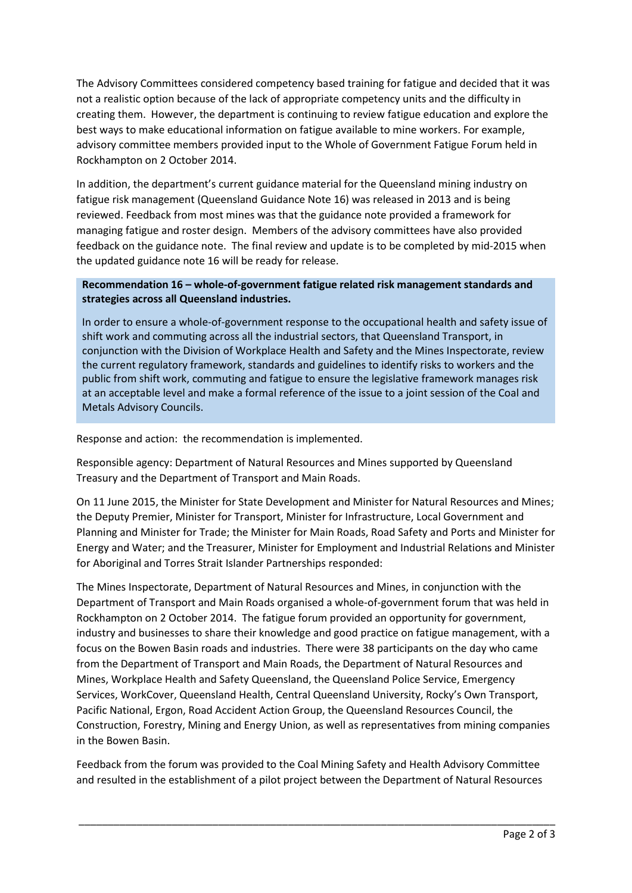The Advisory Committees considered competency based training for fatigue and decided that it was not a realistic option because of the lack of appropriate competency units and the difficulty in creating them. However, the department is continuing to review fatigue education and explore the best ways to make educational information on fatigue available to mine workers. For example, advisory committee members provided input to the Whole of Government Fatigue Forum held in Rockhampton on 2 October 2014.

In addition, the department's current guidance material for the Queensland mining industry on fatigue risk management (Queensland Guidance Note 16) was released in 2013 and is being reviewed. Feedback from most mines was that the guidance note provided a framework for managing fatigue and roster design. Members of the advisory committees have also provided feedback on the guidance note. The final review and update is to be completed by mid-2015 when the updated guidance note 16 will be ready for release.

## **Recommendation 16 – whole-of-government fatigue related risk management standards and strategies across all Queensland industries.**

In order to ensure a whole-of-government response to the occupational health and safety issue of shift work and commuting across all the industrial sectors, that Queensland Transport, in conjunction with the Division of Workplace Health and Safety and the Mines Inspectorate, review the current regulatory framework, standards and guidelines to identify risks to workers and the public from shift work, commuting and fatigue to ensure the legislative framework manages risk at an acceptable level and make a formal reference of the issue to a joint session of the Coal and Metals Advisory Councils.

Response and action: the recommendation is implemented.

Responsible agency: Department of Natural Resources and Mines supported by Queensland Treasury and the Department of Transport and Main Roads.

On 11 June 2015, the Minister for State Development and Minister for Natural Resources and Mines; the Deputy Premier, Minister for Transport, Minister for Infrastructure, Local Government and Planning and Minister for Trade; the Minister for Main Roads, Road Safety and Ports and Minister for Energy and Water; and the Treasurer, Minister for Employment and Industrial Relations and Minister for Aboriginal and Torres Strait Islander Partnerships responded:

The Mines Inspectorate, Department of Natural Resources and Mines, in conjunction with the Department of Transport and Main Roads organised a whole-of-government forum that was held in Rockhampton on 2 October 2014. The fatigue forum provided an opportunity for government, industry and businesses to share their knowledge and good practice on fatigue management, with a focus on the Bowen Basin roads and industries. There were 38 participants on the day who came from the Department of Transport and Main Roads, the Department of Natural Resources and Mines, Workplace Health and Safety Queensland, the Queensland Police Service, Emergency Services, WorkCover, Queensland Health, Central Queensland University, Rocky's Own Transport, Pacific National, Ergon, Road Accident Action Group, the Queensland Resources Council, the Construction, Forestry, Mining and Energy Union, as well as representatives from mining companies in the Bowen Basin.

Feedback from the forum was provided to the Coal Mining Safety and Health Advisory Committee and resulted in the establishment of a pilot project between the Department of Natural Resources

\_\_\_\_\_\_\_\_\_\_\_\_\_\_\_\_\_\_\_\_\_\_\_\_\_\_\_\_\_\_\_\_\_\_\_\_\_\_\_\_\_\_\_\_\_\_\_\_\_\_\_\_\_\_\_\_\_\_\_\_\_\_\_\_\_\_\_\_\_\_\_\_\_\_\_\_\_\_\_\_\_\_